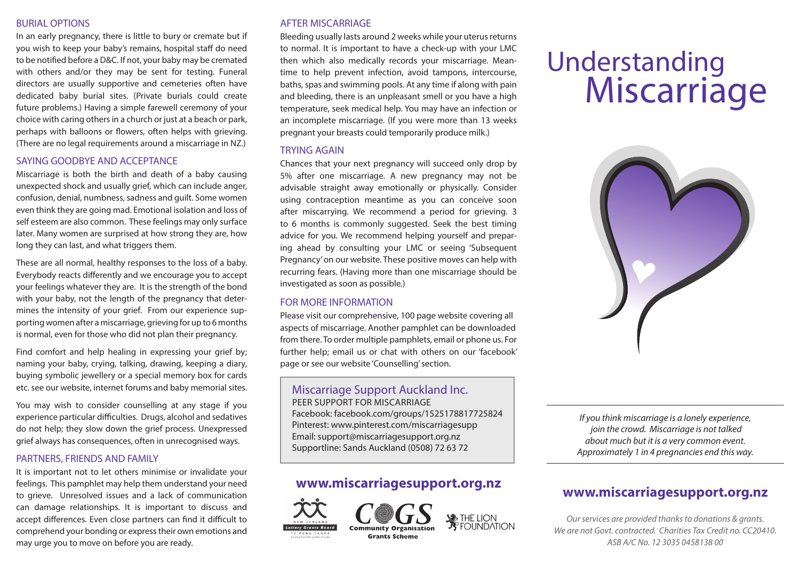## BURIAL OPTIONS

In an early pregnancy, there is little to bury or cremate but if you wish to keep your baby's remains, hospital staff do need to be notified before a D&C. If not, your baby may be cremated with others and/or they may be sent for testing. Funeral directors are usually supportive and cemeteries often have dedicated baby burial sites. (Private burials could create future problems.) Having a simple farewell ceremony of your choice with caring others in a church or just at a beach or park, perhaps with balloons or flowers, often helps with grieving. (There are no legal requirements around a miscarriage in NZ.)

## SAYING GOODBYE AND ACCEPTANCE

Miscarriage is both the birth and death of a baby causing unexpected shock and usually grief, which can include anger, confusion, denial, numbness, sadness and guilt. Some women even think they are going mad. Emotional isolation and loss of self esteem are also common. These feelings may only surface later. Many women are surprised at how strong they are, how long they can last, and what triggers them.

These are all normal, healthy responses to the loss of a baby. Everybody reacts differently and we encourage you to accept your feelings whatever they are. It is the strength of the bond with your baby, not the length of the pregnancy that determines the intensity of your grief. From our experience supporting women after a miscarriage, grieving for up to 6 months is normal, even for those who did not plan their pregnancy.

Find comfort and help healing in expressing your grief by; naming your baby, crying, talking, drawing, keeping a diary, buying symbolic jewellery or a special memory box for cards etc. see our website, internet forums and baby memorial sites.

You may wish to consider counselling at any stage if you experience particular difficulties. Drugs, alcohol and sedatives do not help; they slow down the grief process. Unexpressed grief always has consequences, often in unrecognised ways.

#### PARTNERS, FRIENDS AND FAMILY

It is important not to let others minimise or invalidate your feelings. This pamphlet may help them understand your need to grieve. Unresolved issues and a lack of communication can damage relationships. It is important to discuss and accept differences. Even close partners can find it difficult to comprehend your bonding or express their own emotions and may urge you to move on before you are ready.

## AFTER MISCARRIAGE

Bleeding usually lasts around 2 weeks while your uterus returns to normal. It is important to have a check-up with your LMC then which also medically records your miscarriage. Meantime to help prevent infection, avoid tampons, intercourse, baths, spas and swimming pools. At any time if along with pain and bleeding, there is an unpleasant smell or you have a high temperature, seek medical help. You may have an infection or an incomplete miscarriage. (If you were more than 13 weeks pregnant your breasts could temporarily produce milk.)

## TRYING AGAIN

Chances that your next pregnancy will succeed only drop by 5% after one miscarriage. A new pregnancy may not be advisable straight away emotionally or physically. Consider using contraception meantime as you can conceive soon after miscarrying. We recommend a period for grieving. 3 to 6 months is commonly suggested. Seek the best timing advice for you. We recommend helping yourself and preparing ahead by consulting your LMC or seeing 'Subsequent Pregnancy' on our website. These positive moves can help with recurring fears. (Having more than one miscarriage should be investigated as soon as possible.)

## FOR MORE INFORMATION

Please visit our comprehensive, 100 page website covering all aspects of miscarriage. Another pamphlet can be downloaded from there. To order multiple pamphlets, email or phone us. For further help; email us or chat with others on our 'facebook' page or see our website 'Counselling' section.

# Miscarriage Support Auckland Inc.

PEER SUPPORT FOR MISCARRIAGE Facebook: facebook.com/groups/1525178817725824 Pinterest: www.pinterest.com/miscarriagesupp Email: support@miscarriagesupport.org.nz Supportline: Sands Auckland (0508) 72 63 72

# **www.miscarriagesupport.org.nz**





# Understanding **Miscarriage**



*If you think miscarriage is a lonely experience, join the crowd. Miscarriage is not talked about much but it is a very common event. Approximately 1 in 4 pregnancies end this way.*

# **www.miscarriagesupport.org.nz**

*Our services are provided thanks to donations & grants. We are not Govt. contracted. Charities Tax Credit no. CC20410. ASB A/C No. 12 3035 0458138 00*